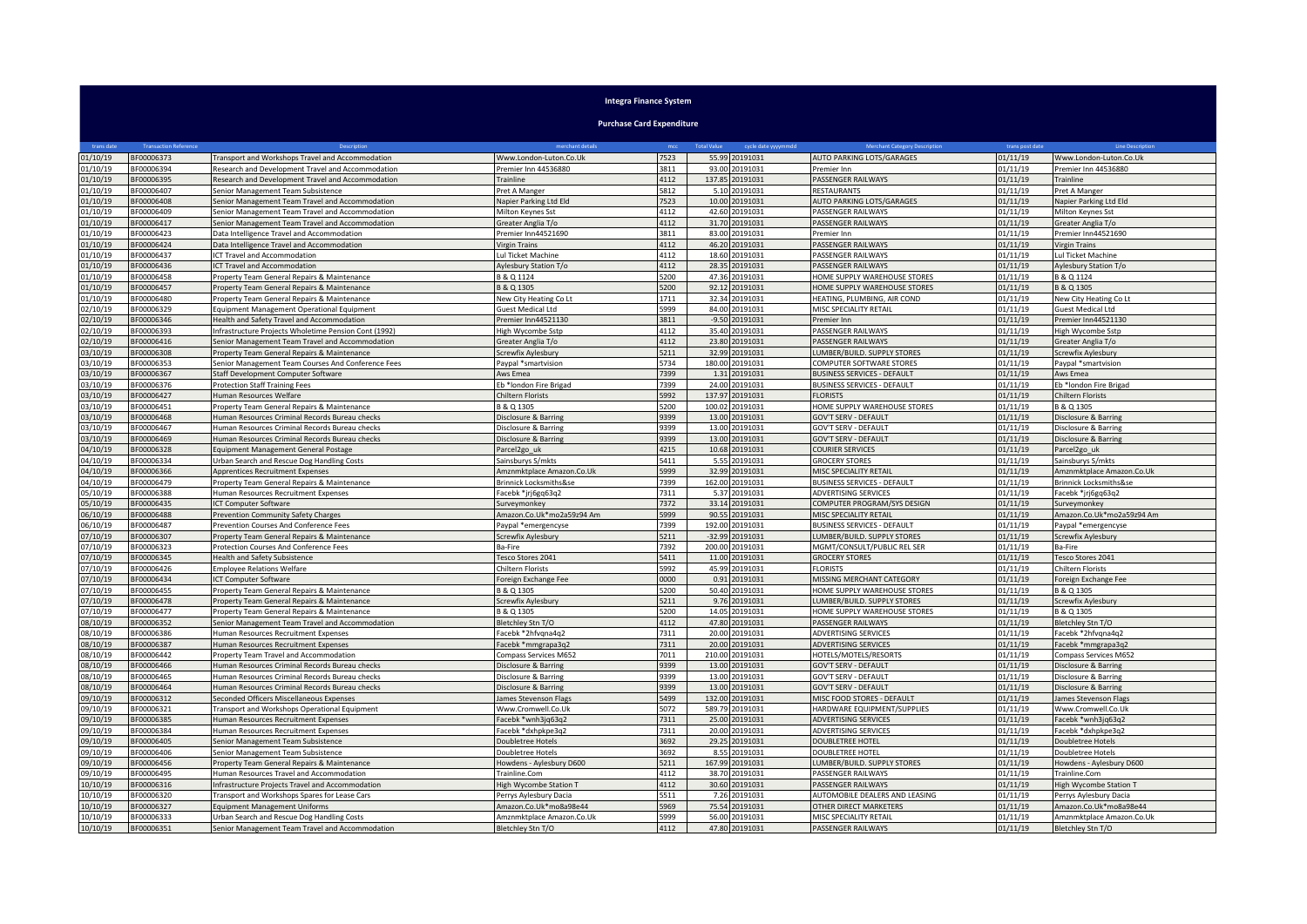| <b>Integra Finance System</b>    |                              |                                                                                               |                                             |              |                                           |                                                      |                      |                                             |
|----------------------------------|------------------------------|-----------------------------------------------------------------------------------------------|---------------------------------------------|--------------|-------------------------------------------|------------------------------------------------------|----------------------|---------------------------------------------|
| <b>Purchase Card Expenditure</b> |                              |                                                                                               |                                             |              |                                           |                                                      |                      |                                             |
| trans date                       | <b>Transaction Reference</b> | Description                                                                                   | merchant details                            | mcc          | cycle date yyyymmdd<br><b>Total Value</b> | Merchant Category Description                        | trans post date      | <b>Line Description</b>                     |
| 01/10/19                         | BF00006373                   | Fransport and Workshops Travel and Accommodation                                              | Www.London-Luton.Co.Uk                      | 7523         | 55.99<br>20191031                         | AUTO PARKING LOTS/GARAGES                            | 01/11/19             | Www.London-Luton.Co.Uk                      |
| 01/10/19                         | BF00006394                   | Research and Development Travel and Accommodation                                             | Premier Inn 44536880                        | 3811         | 93.00<br>20191031                         | Premier Inn                                          | 01/11/19             | Premier Inn 44536880                        |
| 01/10/19                         | 3F00006395                   | Research and Development Travel and Accommodation                                             | rainline                                    | 4112         | 137.85<br>20191031                        | ASSENGER RAILWAYS                                    | 01/11/19             | <b>Trainline</b>                            |
| 01/10/19                         | BF00006407                   | Senior Management Team Subsistence                                                            | Pret A Manger                               | 5812         | 20191031<br>5.10                          | RESTAURANTS                                          | 01/11/19             | Pret A Manger                               |
| 01/10/19                         | BF00006408                   | Senior Management Team Travel and Accommodation                                               | Napier Parking Ltd Eld                      | 7523         | 10.00<br>20191031                         | AUTO PARKING LOTS/GARAGES                            | 01/11/19             | Napier Parking Ltd Eld                      |
| 01/10/19                         | BF00006409                   | Senior Management Team Travel and Accommodation                                               | Milton Kevnes Sst                           | 4112         | 20191031<br>42.60                         | PASSENGER RAILWAYS                                   | 01/11/19             | Milton Kevnes Sst                           |
| 01/10/19                         | BF00006417                   | Senior Management Team Travel and Accommodation                                               | Greater Anglia T/o                          | 4112         | 31.70<br>20191031                         | PASSENGER RAILWAYS                                   | 01/11/19             | Greater Anglia T/o                          |
| 01/10/19<br>01/10/19             | BF00006423<br>BF00006424     | Data Intelligence Travel and Accommodation<br>Data Intelligence Travel and Accommodation      | Premier Inn44521690<br><b>Virgin Trains</b> | 3811<br>4112 | 83.00<br>20191031<br>46.20<br>20191031    | Premier Inn<br>PASSENGER RAILWAYS                    | 01/11/19<br>01/11/19 | Premier Inn44521690<br><b>Virgin Trains</b> |
| 01/10/19                         | BF00006437                   | CT Travel and Accommodation                                                                   | Lul Ticket Machine                          | 4112         | 18.60<br>20191031                         | PASSENGER RAILWAYS                                   | 01/11/19             | Lul Ticket Machine                          |
| 01/10/19                         | BF00006436                   | <b>ICT Travel and Accommodation</b>                                                           | Aylesbury Station T/o                       | 4112         | 28.35<br>20191031                         | PASSENGER RAILWAYS                                   | 01/11/19             | Aylesbury Station T/o                       |
| 01/10/19                         | BF00006458                   | Property Team General Repairs & Maintenance                                                   | B & Q 1124                                  | 5200         | 47.36<br>20191031                         | HOME SUPPLY WAREHOUSE STORES                         | 01/11/19             | B & Q 1124                                  |
| 01/10/19                         | 3F00006457                   | Property Team General Repairs & Maintenance                                                   | 3 & Q 1305                                  | 5200         | 92.12<br>20191031                         | HOME SUPPLY WAREHOUSE STORES                         | 01/11/19             | B & Q 1305                                  |
| 01/10/19                         | BF00006480                   | Property Team General Repairs & Maintenance                                                   | <b>New City Heating Co Lt</b>               | 1711         | 0191031<br>32.34                          | HEATING, PLUMBING, AIR COND                          | 01/11/19             | New City Heating Co Lt                      |
| 02/10/19                         | BF00006329                   | <b>Equipment Management Operational Equipment</b>                                             | Guest Medical Ltd                           | 5999         | 84.00<br>20191031                         | MISC SPECIALITY RETAIL                               | 01/11/19             | Guest Medical Ltd                           |
| 02/10/19                         | BF00006346                   | lealth and Safety Travel and Accommodation                                                    | remier Inn44521130                          | 3811         | $-9.50$<br>0191031                        | remier Inn                                           | 01/11/19             | Premier Inn44521130                         |
| 02/10/19                         | BF00006393                   | nfrastructure Projects Wholetime Pension Cont (1992)                                          | ligh Wycombe Sstp                           | 4112         | 35.40<br>20191031                         | PASSENGER RAILWAYS                                   | 01/11/19             | High Wycombe Sstp                           |
| 02/10/19                         | BF00006416                   | Senior Management Team Travel and Accommodation                                               | Greater Anglia T/o                          | 4112         | 20191031<br>23.80                         | PASSENGER RAILWAYS                                   | 01/11/19             | Greater Anglia T/o                          |
| 03/10/19                         | BF00006308                   | Property Team General Repairs & Maintenance                                                   | Screwfix Aylesbury                          | 5211         | 32.99<br>20191031                         | LUMBER/BUILD. SUPPLY STORES                          | 01/11/19             | Screwfix Aylesbury                          |
| 03/10/19                         | BF00006353                   | Senior Management Team Courses And Conference Fees                                            | Paypal *smartvision                         | 5734         | 180.00<br>20191031                        | COMPUTER SOFTWARE STORES                             | 01/11/19             | Paypal *smartvision                         |
| 03/10/19                         | BF00006367                   | Staff Development Computer Software                                                           | ws Emea                                     | 7399         | 1.31 20191031                             | BUSINESS SERVICES - DEFAULT                          | 01/11/19             | Aws Emea                                    |
| 03/10/19                         | BF00006376                   | <b>Protection Staff Training Fees</b>                                                         | b *london Fire Brigad                       | 7399         | 24.00<br>20191031                         | <b>BUSINESS SERVICES - DEFAULT</b>                   | 01/11/19             | Eb *london Fire Brigad                      |
| 03/10/19                         | BF00006427                   | Human Resources Welfare                                                                       | Chiltern Florists                           | 5992         | 137.97 20191031                           | <b>FLORISTS</b>                                      | 01/11/19             | Chiltern Florists                           |
| 03/10/19<br>03/10/19             | BF00006451<br>BF00006468     | Property Team General Repairs & Maintenance<br>Human Resources Criminal Records Bureau checks | 3 & Q 1305<br>Disclosure & Barring          | 5200<br>9399 | 100.02<br>20191031<br>13.00<br>20191031   | HOME SUPPLY WAREHOUSE STORES<br>GOV'T SERV - DEFAULT | 01/11/19<br>01/11/19 | 3 & Q 1305<br>Disclosure & Barring          |
| 03/10/19                         | BF00006467                   | Human Resources Criminal Records Bureau checks                                                | Disclosure & Barring                        | 9399         | 13.00<br>20191031                         | GOV'T SERV - DEFAULT                                 | 01/11/19             | Disclosure & Barring                        |
| 03/10/19                         | 3F00006469                   | Human Resources Criminal Records Bureau checks                                                | Disclosure & Barring                        | 9399         | 13.00<br>0191031                          | <b>GOV'T SERV - DEFAULT</b>                          | 01/11/19             | Disclosure & Barring                        |
| 04/10/19                         | BF00006328                   | Equipment Management General Postage                                                          | Parcel <sub>2gouk</sub>                     | 4215         | 10.68<br>20191031                         | COURIER SERVICES                                     | 01/11/19             | Parcel2go_uk                                |
| 04/10/19                         | BF00006334                   | Jrban Search and Rescue Dog Handling Costs                                                    | ainsburys S/mkts                            | 5411         | 5.55<br>20191031                          | <b>GROCERY STORES</b>                                | 01/11/19             | Sainsburys S/mkts                           |
| 04/10/19                         | BF00006366                   | Apprentices Recruitment Expenses                                                              | mznmktplace Amazon.Co.Uk                    | 5999         | 32.99<br>10191031                         | <b>VISC SPECIALITY RETAIL</b>                        | 01/11/19             | Amznmktplace Amazon.Co.Uk                   |
| 04/10/19                         | 3F00006479                   | Property Team General Repairs & Maintenance                                                   | Brinnick Locksmiths&se                      | 7399         | 20191031<br>162.00                        | BUSINESS SERVICES - DEFAULT                          | 01/11/19             | Brinnick Locksmiths&se                      |
| 05/10/19                         | BF00006388                   | Human Resources Recruitment Expenses                                                          | Facebk *jrj6gq63q2                          | 7311         | 5.37<br>20191031                          | ADVERTISING SERVICES                                 | 01/11/19             | Facebk *jrj6gq63q2                          |
| 05/10/19                         | BF00006435                   | <b>ICT Computer Software</b>                                                                  | Surveymonkey                                | 7372         | 33.14<br>20191031                         | COMPUTER PROGRAM/SYS DESIGN                          | 01/11/19             | Surveymonkey                                |
| 06/10/19                         | 3F00006488                   | Prevention Community Safety Charges                                                           | mazon.Co.Uk*mo2a59z94 Am                    | 5999         | 90.55<br>0191031                          | MISC SPECIALITY RETAIL                               | 01/11/19             | Amazon.Co.Uk*mo2a59z94 Am                   |
| 06/10/19                         | BF00006487                   | Prevention Courses And Conference Fees                                                        | Paypal *emergencyse                         | 7399         | 192.00<br>20191031                        | <b>BUSINESS SERVICES - DEFAULT</b>                   | 01/11/19             | Paypal *emergencyse                         |
| 07/10/19                         | 3F00006307                   | Property Team General Repairs & Maintenance                                                   | Screwfix Aylesbury                          | 5211         | $-32.99$<br>20191031                      | LUMBER/BUILD. SUPPLY STORES                          | 01/11/19             | Screwfix Aylesbury                          |
| 07/10/19                         | 3F00006323<br>BF00006345     | Protection Courses And Conference Fees                                                        | Ba-Fire                                     | 7392<br>5411 | 200.00<br>20191031<br>20191031            | MGMT/CONSULT/PUBLIC REL SER                          | 01/11/19             | Ba-Fire                                     |
| 07/10/19<br>07/10/19             | BF00006426                   | Health and Safety Subsistence<br><b>Employee Relations Welfare</b>                            | Tesco Stores 2041<br>Chiltern Florists      | 5992         | 11.00<br>45.99 20191031                   | <b>GROCERY STORES</b><br><b>FLORISTS</b>             | 01/11/19<br>01/11/19 | Fesco Stores 2041<br>Chiltern Florists      |
| 07/10/19                         | BF00006434                   | <b>ICT Computer Software</b>                                                                  | Foreign Exchange Fee                        | 0000         | 0.91 20191031                             | MISSING MERCHANT CATEGORY                            | 01/11/19             | Foreign Exchange Fee                        |
| 07/10/19                         | BF00006455                   | Property Team General Repairs & Maintenance                                                   | 8 & 0 1305                                  | 5200         | 50.40<br>0191031                          | HOME SUPPLY WAREHOUSE STORES                         | 01/11/19             | B & O 1305                                  |
| 07/10/19                         | BF00006478                   | Property Team General Repairs & Maintenance                                                   | Screwfix Aylesbury                          | 5211         | 9.76<br>20191031                          | <b>UMBER/BUILD. SUPPLY STORES</b>                    | 01/11/19             | Screwfix Aylesbury                          |
| 07/10/19                         | BF00006477                   | roperty Team General Repairs & Maintenance                                                    | 3 & Q 1305                                  | 5200         | 14.05<br>0191031                          | <b>HOME SUPPLY WAREHOUSE STORES</b>                  | 01/11/19             | B & Q 1305                                  |
| 08/10/19                         | 3F00006352                   | enior Management Team Travel and Accommodation                                                | Bletchley Stn T/O                           | 4112         | 47.80<br>20191031                         | ASSENGER RAILWAYS                                    | 01/11/19             | Bletchley Stn T/O                           |
| 08/10/19                         | BF00006386                   | Human Resources Recruitment Expenses                                                          | acebk *2hfvqna4q2                           | 7311         | 20.00<br>20191031                         | ADVERTISING SERVICES                                 | 01/11/19             | Facebk *2hfvqna4q2                          |
| 08/10/19                         | BF00006387                   | Human Resources Recruitment Expenses                                                          | Facebk *mmgrapa3q2                          | 7311         | 20.00<br>20191031                         | ADVERTISING SERVICES                                 | 01/11/19             | Facebk *mmgrapa3q2                          |
| 08/10/19                         | BF00006442                   | Property Team Travel and Accommodation                                                        | Compass Services M652                       | 7011         | 210.00<br>20191031                        | HOTELS/MOTELS/RESORTS                                | 01/11/19             | Compass Services M652                       |
| 08/10/19                         | BF00006466                   | Iuman Resources Criminal Records Bureau checks                                                | isclosure & Barring                         | 9399         | 13.00<br>0191031                          | <b>GOV'T SERV - DEFAULT</b>                          | 01/11/19             | Disclosure & Barring                        |
| 08/10/19                         | BF00006465                   | Human Resources Criminal Records Bureau checks                                                | Disclosure & Barring                        | 9399         | 13.00<br>20191031                         | GOV'T SERV - DEFAULT                                 | 01/11/19             | Disclosure & Barring                        |
| 08/10/19                         | BF00006464                   | Iuman Resources Criminal Records Bureau checks                                                | Disclosure & Barring                        | 9399         | 13.00<br>20191031                         | GOV'T SERV - DEFAULT                                 | 01/11/19             | Disclosure & Barring                        |
| 09/10/19                         | BF00006312                   | Seconded Officers Miscellaneous Expenses                                                      | ames Stevenson Flags                        | 5499         | 132.00<br>20191031                        | <b>MISC FOOD STORES - DEFAULT</b>                    | 01/11/19             | lames Stevenson Flags                       |
| 09/10/19<br>09/10/19             | BF00006321<br>BF00006385     | Fransport and Workshops Operational Equipment<br>Human Resources Recruitment Expenses         | Www.Cromwell.Co.Uk<br>Facebk *wnh3jq63q2    | 5072<br>7311 | 589.79<br>20191031<br>25.00 20191031      | HARDWARE EQUIPMENT/SUPPLIES<br>ADVERTISING SERVICES  | 01/11/19<br>01/11/19 | Www.Cromwell.Co.Uk<br>Facebk *wnh3jq63q2    |
| 09/10/19                         | BF00006384                   | Human Resources Recruitment Expenses                                                          | acebk *dxhpkpe3q2                           | 7311         | 20191031<br>20.00                         | <b>ADVERTISING SERVICES</b>                          | 01/11/19             | Facebk *dxhpkpe3q2                          |
| 09/10/19                         | BF00006405                   | Senior Management Team Subsistence                                                            | oubletree Hotels                            | 3692         | 0191031<br>29.25                          | DOUBLETREE HOTEL                                     | 01/11/19             | Doubletree Hotels                           |
| 09/10/19                         | BF00006406                   | Senior Management Team Subsistence                                                            | Ooubletree Hotels                           | 3692         | 8.55<br>20191031                          | DOUBLETREE HOTEL                                     | 01/11/19             | Doubletree Hotels                           |
| 09/10/19                         | BF00006456                   | Property Team General Repairs & Maintenance                                                   | lowdens - Aylesbury D600                    | 5211         | 167.99<br>20191031                        | LUMBER/BUILD. SUPPLY STORES                          | 01/11/19             | Howdens - Aylesbury D600                    |
| 09/10/19                         | BF00006495                   | luman Resources Travel and Accommodation                                                      | Trainline.Com                               | 4112         | 38.70<br>20191031                         | PASSENGER RAILWAYS                                   | 01/11/19             | Trainline.Com                               |
| 10/10/19                         | BF00006316                   | nfrastructure Projects Travel and Accommodation                                               | High Wycombe Station T                      | 4112         | 30.60 20191031                            | PASSENGER RAILWAYS                                   | 01/11/19             | High Wycombe Station T                      |
| 10/10/19                         | BF00006320                   | Transport and Workshops Spares for Lease Cars                                                 | Perrys Aylesbury Dacia                      | 5511         | 7.26 20191031                             | AUTOMOBILE DEALERS AND LEASING                       | 01/11/19             | Perrys Aylesbury Dacia                      |
| 10/10/19                         | BF00006327                   | Equipment Management Uniforms                                                                 | Amazon.Co.Uk*mo8a98e44                      | 5969         | 75.54 20191031                            | OTHER DIRECT MARKETERS                               | 01/11/19             | Amazon.Co.Uk*mo8a98e44                      |
| 10/10/19                         | BF00006333                   | <b>Jrban Search and Rescue Dog Handling Costs</b>                                             | Amznmktplace Amazon.Co.Uk                   | 5999         | 56.00<br>20191031                         | MISC SPECIALITY RETAIL                               | 01/11/19             | Amznmktplace Amazon.Co.Uk                   |
| 10/10/19                         | BF00006351                   | Senior Management Team Travel and Accommodation                                               | Bletchley Stn T/O                           | 4112         | 47.80 20191031                            | PASSENGER RAILWAYS                                   | 01/11/19             | Bletchley Stn T/O                           |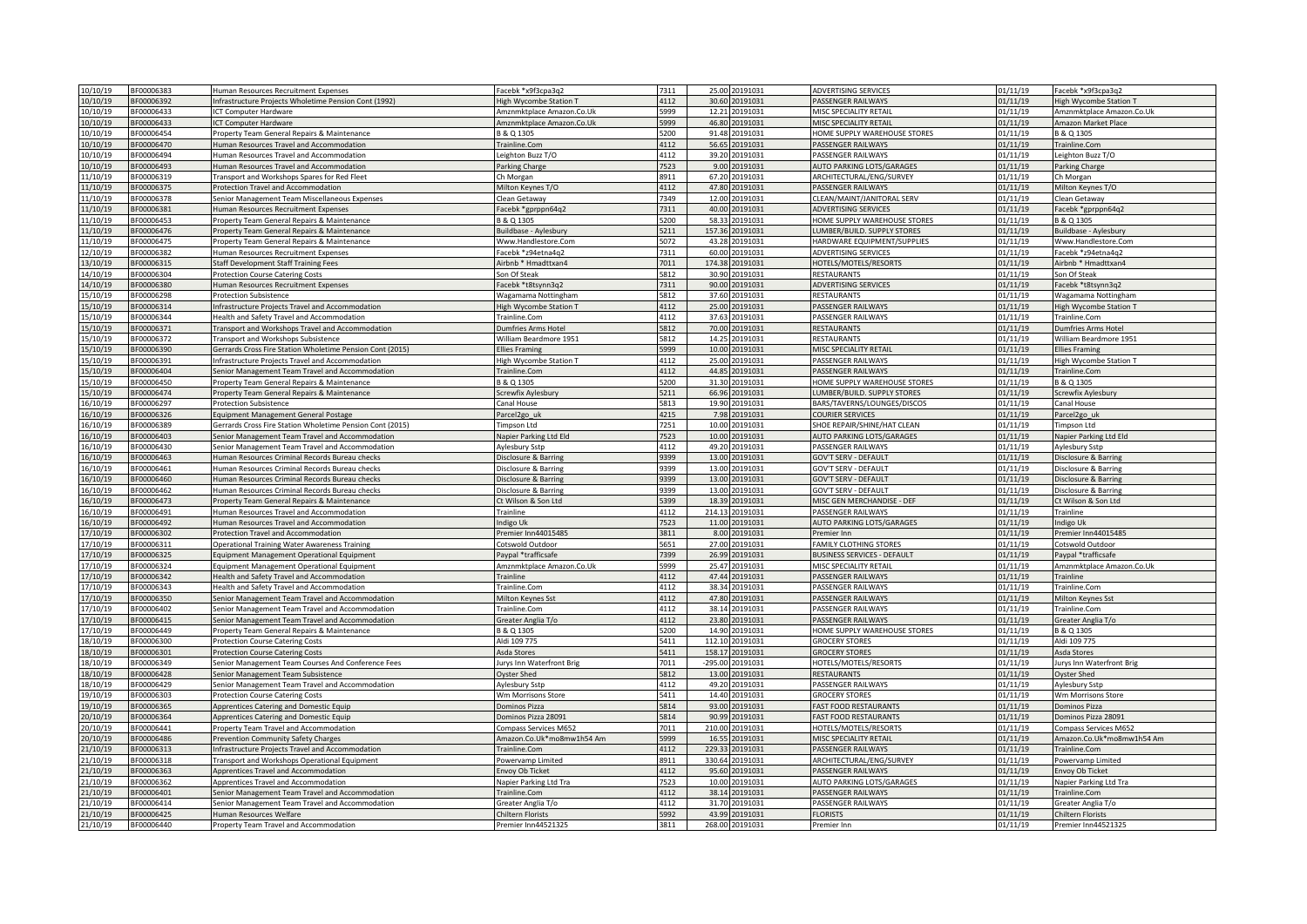| 10/10/19<br>BF00006383 | Human Resources Recruitment Expenses                      | Facebk *x9f3cpa3q2            | 7311 |        | 25.00 20191031  | <b>ADVERTISING SERVICES</b>        | 01/11/19 | Facebk *x9f3cpa3q2               |
|------------------------|-----------------------------------------------------------|-------------------------------|------|--------|-----------------|------------------------------------|----------|----------------------------------|
| 0/10/19<br>3F00006392  | Infrastructure Projects Wholetime Pension Cont (1992)     | <b>High Wycombe Station T</b> | 4112 |        | 30.60 20191031  | PASSENGER RAILWAYS                 | 01/11/19 | High Wycombe Station T           |
|                        |                                                           |                               |      |        |                 |                                    |          |                                  |
| 0/10/19<br>3F00006433  | <b>CT Computer Hardware</b>                               | Amznmktplace Amazon.Co.Ul     | 5999 | 12.21  | 20191031        | MISC SPECIALITY RETAIL             | 01/11/19 | Amznmktplace Amazon.Co.Uk        |
| 10/10/19<br>BF00006433 | ICT Computer Hardware                                     | Amznmktplace Amazon.Co.Uk     | 5999 | 46.80  | 20191031        | MISC SPECIALITY RETAIL             | 01/11/19 | Amazon Market Place              |
| 0/10/19<br>BF00006454  | Property Team General Repairs & Maintenance               | B & Q 1305                    | 5200 | 91.48  | 20191031        | HOME SUPPLY WAREHOUSE STORES       | 01/11/19 | 3 & Q 1305                       |
| 10/10/19<br>3F00006470 | Human Resources Travel and Accommodation                  | Trainline.Com                 | 4112 | 56.65  | 20191031        | PASSENGER RAILWAYS                 | 01/11/19 | Trainline.Com                    |
| 0/10/19<br>3F00006494  | Human Resources Travel and Accommodation                  | eighton Buzz T/O              | 4112 | 39.20  | 0191031         | PASSENGER RAILWAYS                 | 01/11/19 | Leighton Buzz T/C                |
| 0/10/19<br>BF00006493  | luman Resources Travel and Accommodation                  | Parking Charge                | 7523 | 9.00   | 0191031         | AUTO PARKING LOTS/GARAGES          | 01/11/19 | Parking Charge                   |
| 11/10/19<br>BF00006319 | Transport and Workshops Spares for Red Fleet              | Ch Morgan                     | 8911 |        | 67.20 20191031  | ARCHITECTURAL/ENG/SURVEY           | 01/11/19 | Ch Morgan                        |
| 11/10/19<br>BF00006375 | Protection Travel and Accommodation                       | Milton Keynes T/O             | 4112 |        | 47.80 20191031  | PASSENGER RAILWAYS                 | 01/11/19 | Milton Keynes T/O                |
|                        |                                                           |                               | 7349 |        |                 |                                    |          |                                  |
| 11/10/19<br>3F00006378 | Senior Management Team Miscellaneous Expenses             | Clean Getaway                 |      |        | 12.00 20191031  | CLEAN/MAINT/JANITORAL SERV         | 01/11/19 | Clean Getaway                    |
| 11/10/19<br>BF00006381 | Human Resources Recruitment Expenses                      | Facebk *gprppn64q2            | 7311 |        | 40.00 20191031  | ADVERTISING SERVICES               | 01/11/19 | Facebk *gprppn64q2               |
| 1/10/19<br>BF00006453  | Property Team General Repairs & Maintenance               | B & Q 1305                    | 5200 |        | 58.33 20191031  | HOME SUPPLY WAREHOUSE STORES       | 01/11/19 | B & Q 1305                       |
| 1/10/19<br>3F00006476  | Property Team General Repairs & Maintenance               | <b>Buildbase - Aylesbury</b>  | 5211 | 157.36 | 20191031        | UMBER/BUILD, SUPPLY STORES         | 01/11/19 | Buildbase - Avlesbury            |
| 1/10/19<br>3F00006475  | Property Team General Repairs & Maintenance               | Vww.Handlestore.Com           | 5072 | 43.28  | 0191031         | HARDWARE EQUIPMENT/SUPPLIES        | 1/11/19  | Www.Handlestore.Com              |
| 2/10/19<br>3F00006382  | Iuman Resources Recruitment Expenses                      | acebk *z94etna4q2             | 7311 | 60.00  | 0191031         | ADVERTISING SERVICES               | 01/11/19 | acebk *z94etna4q2                |
| 3/10/19<br>BF00006315  | taff Development Staff Training Fees                      | Airbnb * Hmadttxan4           | 7011 | 174.38 | 0191031         | <b>IOTELS/MOTELS/RESORTS</b>       | 01/11/19 | Airbnb * Hmadttxan4              |
| 4/10/19<br>BF00006304  | Protection Course Catering Costs                          | Son Of Steak                  | 5812 | 30.90  | 20191031        | <b>RESTAURANTS</b>                 | 01/11/19 | Son Of Steak                     |
|                        |                                                           |                               |      |        |                 |                                    |          |                                  |
| L4/10/19<br>BF00006380 | Human Resources Recruitment Expenses                      | Facebk *t8tsynn3q2            | 7311 | 90.00  | 0191031         | ADVERTISING SERVICES               | 01/11/19 | Facebk *t8tsynn3q2               |
| 5/10/19<br>3F00006298  | Protection Subsistence                                    | Vagamama Nottingham           | 5812 | 37.60  | 0191031         | <b>RESTAURANTS</b>                 | 01/11/19 | Wagamama Nottingham              |
| 15/10/19<br>BF00006314 | Infrastructure Projects Travel and Accommodation          | ligh Wycombe Station T        | 4112 |        | 25.00 20191031  | PASSENGER RAILWAYS                 | 01/11/19 | High Wycombe Station T           |
| BF00006344<br>L5/10/19 | Health and Safety Travel and Accommodation                | Trainline.Com                 | 4112 |        | 37.63 20191031  | PASSENGER RAILWAYS                 | 01/11/19 | Trainline.Com                    |
| 3F00006371<br>5/10/19  | Transport and Workshops Travel and Accommodation          | Dumfries Arms Hotel           | 5812 |        | 70.00 20191031  | <b>RESTAURANTS</b>                 | 01/11/19 | Dumfries Arms Hotel              |
| 5/10/19<br>BF00006372  | Transport and Workshops Subsistence                       | William Beardmore 1951        | 5812 |        | 14.25 20191031  | RESTAURANTS                        | 01/11/19 | William Beardmore 1951           |
| 5/10/19<br>3F00006390  | Gerrards Cross Fire Station Wholetime Pension Cont (2015) | <b>Ellies Framing</b>         | 5999 |        | 10.00 20191031  | MISC SPECIALITY RETAIL             | 01/11/19 | <b>Ellies Framing</b>            |
| 5/10/19<br>3F00006391  | Infrastructure Projects Travel and Accommodation          | ligh Wycombe Station T        | 4112 | 25.00  | 20191031        | PASSENGER RAILWAYS                 | 01/11/19 | <b>High Wycombe Station T</b>    |
|                        |                                                           |                               |      |        |                 |                                    |          |                                  |
| 5/10/19<br>BF00006404  | Senior Management Team Travel and Accommodation           | Trainline.Com                 | 4112 | 44.85  | 20191031        | PASSENGER RAILWAYS                 | 01/11/19 | Trainline.Com                    |
| 5/10/19<br>3F00006450  | Property Team General Repairs & Maintenance               | B & Q 1305                    | 5200 | 31.30  | 0191031         | HOME SUPPLY WAREHOUSE STORES       | 01/11/19 | B & Q 1305                       |
| 3F00006474<br>5/10/19  | roperty Team General Repairs & Maintenance                | crewfix Aylesbury             | 5211 | 66.96  | 0191031         | UMBER/BUILD. SUPPLY STORES         | 01/11/19 | Screwfix Aylesbury               |
| 6/10/19<br>BF00006297  | Protection Subsistence                                    | .<br>Canal House              | 5813 | 19.90  | 20191031        | BARS/TAVERNS/LOUNGES/DISCOS        | 01/11/19 | Canal House                      |
| 16/10/19<br>BF00006326 | Equipment Management General Postage                      | Parcel2go_uk                  | 4215 | 7.98   | 20191031        | <b>COURIER SERVICES</b>            | 01/11/19 | Parcel2go_uk                     |
| 16/10/19<br>3F00006389 | Gerrards Cross Fire Station Wholetime Pension Cont (2015) | <b>Timpson Ltd</b>            | 7251 |        | 10.00 20191031  | SHOE REPAIR/SHINE/HAT CLEAN        | 01/11/19 | Timpson Ltd                      |
| 16/10/19<br>BF00006403 | Senior Management Team Travel and Accommodation           | Napier Parking Ltd Eld        | 7523 |        | 10.00 20191031  | AUTO PARKING LOTS/GARAGES          | 01/11/19 | Napier Parking Ltd Eld           |
|                        |                                                           |                               |      |        |                 |                                    |          |                                  |
| BF00006430<br>16/10/19 | Senior Management Team Travel and Accommodation           | Aylesbury Sstp                | 4112 |        | 49.20 20191031  | PASSENGER RAILWAYS                 | 01/11/19 | Aylesbury Sstp                   |
| 3F00006463<br>16/10/19 | Juman Resources Criminal Records Bureau checks            | Disclosure & Barring          | 9399 |        | 13.00 20191031  | <b>GOV'T SERV - DEFAULT</b>        | 01/11/19 | Disclosure & Barring             |
| 3F00006461<br>6/10/19  | Human Resources Criminal Records Bureau checks            | Disclosure & Barring          | 9399 |        | 13.00 20191031  | <b>GOV'T SERV - DEFAULT</b>        | 01/11/19 | Disclosure & Barring             |
| 16/10/19<br>3F00006460 | Human Resources Criminal Records Bureau checks            | Disclosure & Barring          | 9399 |        | 13.00 20191031  | <b>GOV'T SERV - DEFAULT</b>        | 01/11/19 | Disclosure & Barring             |
| 6/10/19<br>3F00006462  | Human Resources Criminal Records Bureau checks            | Disclosure & Barring          | 9399 | 13.00  | 0191031         | <b>GOV'T SERV - DEFAULT</b>        | 01/11/19 | Disclosure & Barring             |
| 16/10/19<br>3F00006473 | Property Team General Repairs & Maintenance               | Ct Wilson & Son Ltd           | 5399 | 18.39  | 0191031         | MISC GEN MERCHANDISE - DEF         | 01/11/19 | Ct Wilson & Son Ltd              |
| 16/10/19<br>BF00006491 | Iuman Resources Travel and Accommodation                  | Trainline                     | 4112 | 214.13 | 0191031         | PASSENGER RAILWAYS                 | 01/11/19 | Trainline                        |
| 3F00006492<br>16/10/19 | luman Resources Travel and Accommodation                  | ndigo Uk                      | 7523 | 11.00  | 0191031         | AUTO PARKING LOTS/GARAGES          | 01/11/19 | ndigo Uk                         |
| 3F00006302             |                                                           |                               | 3811 | 8.00   | 20191031        | remier Inn                         |          |                                  |
| 7/10/19                | Protection Travel and Accommodation                       | remier Inn44015485            |      |        |                 |                                    | 01/11/19 | Premier Inn44015485              |
| 17/10/19<br>BF00006311 | Operational Training Water Awareness Training             | Cotswold Outdoor              | 5651 | 27.00  | 20191031        | <b>FAMILY CLOTHING STORES</b>      | 01/11/19 | Cotswold Outdoor                 |
| 17/10/19<br>BF00006325 | Equipment Management Operational Equipment                | Paypal *trafficsafe           | 7399 |        | 26.99 20191031  | <b>BUSINESS SERVICES - DEFAULT</b> | 01/11/19 | Paypal *trafficsafe              |
| 7/10/19<br>F00006324   | Equipment Management Operational Equipment                | Amznmktplace Amazon.Co.Uk     | 5999 |        | 25.47 20191031  | MISC SPECIALITY RETAIL             | 01/11/19 | Amznmktplace Amazon.Co.Uk        |
| 17/10/19<br>3F00006342 | Health and Safety Travel and Accommodation                | Trainline                     | 4112 |        | 47.44 20191031  | PASSENGER RAILWAYS                 | 01/11/19 | Trainline                        |
| 17/10/19<br>BF00006343 | lealth and Safety Travel and Accommodation                | Trainline.Com                 | 4112 |        | 38.34 20191031  | PASSENGER RAILWAYS                 | 01/11/19 | Trainline.Com                    |
| 7/10/19<br>3F00006350  | Senior Management Team Travel and Accommodation           | Milton Keynes Sst             | 4112 |        | 47.80 20191031  | PASSENGER RAILWAYS                 | 01/11/19 | Milton Keynes Sst                |
| BF00006402<br>7/10/19  | Senior Management Team Travel and Accommodation           | Trainline.Com                 | 4112 |        | 38.14 20191031  | PASSENGER RAILWAYS                 | 01/11/19 | Trainline.Com                    |
| 17/10/19<br>3F00006415 | Senior Management Team Travel and Accommodation           | Greater Anglia T/o            | 4112 | 23.80  | 20191031        | PASSENGER RAILWAYS                 | 01/11/19 | Greater Anglia T/o               |
|                        |                                                           |                               |      |        |                 |                                    |          |                                  |
| 7/10/19<br>BF00006449  | Property Team General Repairs & Maintenance               | 3 & Q 1305                    | 5200 | 14.90  | 0191031         | HOME SUPPLY WAREHOUSE STORES       | 01/11/19 | B & Q 1305                       |
| 18/10/19<br>3F00006300 | <b>Protection Course Catering Costs</b>                   | Aldi 109 775                  | 5411 | 112.10 | 0191031         | <b>GROCERY STORES</b>              | 01/11/19 | Aldi 109 775                     |
| 18/10/19<br>BF00006301 | <b>Protection Course Catering Costs</b>                   | Asda Stores                   | 5411 | 158.17 | 0191031         | <b>GROCERY STORES</b>              | 01/11/19 | Asda Stores                      |
| 8/10/19<br>3F00006349  | Senior Management Team Courses And Conference Fees        | lurys Inn Waterfront Brig     | 7011 | 295.00 | 20191031        | HOTELS/MOTELS/RESORTS              | 01/11/19 | <b>Jurys Inn Waterfront Brig</b> |
| 18/10/19<br>3F00006428 | Senior Management Team Subsistence                        | Oyster Shed                   | 5812 | 13.00  | 20191031        | RESTAURANTS                        | 01/11/19 | Oyster Shed                      |
| 8/10/19<br>BF00006429  | Senior Management Team Travel and Accommodation           | Aylesbury Sstp                | 4112 | 49.20  | 20191031        | PASSENGER RAILWAYS                 | 01/11/19 | Aylesbury Sstp                   |
| 3F00006303<br>19/10/19 | <b>Protection Course Catering Costs</b>                   | Wm Morrisons Store            | 5411 | 14.40  | 20191031        | <b>GROCERY STORES</b>              | 01/11/19 | Wm Morrisons Store               |
|                        |                                                           |                               |      |        |                 |                                    |          |                                  |
| 19/10/19<br>3F00006365 | Apprentices Catering and Domestic Equip                   | Dominos Pizza                 | 5814 |        | 93.00 20191031  | FAST FOOD RESTAURANTS              | 01/11/19 | Dominos Pizza                    |
| 3F00006364<br>20/10/19 | Apprentices Catering and Domestic Equip                   | Ominos Pizza 28091            | 5814 |        | 90.99 20191031  | <b>FAST FOOD RESTAURANTS</b>       | 01/11/19 | Dominos Pizza 28091              |
| 0/10/19<br>BF00006441  | Property Team Travel and Accommodation                    | Compass Services M652         | 7011 | 210.00 | 20191031        | HOTELS/MOTELS/RESORTS              | 01/11/19 | Compass Services M652            |
| 0/10/19<br>3F00006486  | Prevention Community Safety Charges                       | Amazon.Co.Uk*mo8mw1h54 Am     | 5999 |        | 16.55 20191031  | MISC SPECIALITY RETAIL             | 01/11/19 | Amazon.Co.Uk*mo8mw1h54 Am        |
| 1/10/19<br>3F00006313  | Infrastructure Projects Travel and Accommodation          | Trainline.Com                 | 4112 |        | 229.33 20191031 | PASSENGER RAILWAYS                 | 01/11/19 | Trainline.Com                    |
| 1/10/19<br>BF00006318  | Transport and Workshops Operational Equipment             | owervamp Limited              | 8911 | 330.64 | 20191031        | ARCHITECTURAL/ENG/SURVEY           | 01/11/19 | Powervamp Limited                |
| 1/10/19<br>BF00006363  | Apprentices Travel and Accommodation                      | <b>Nov Ob Ticket</b>          | 4112 | 95.60  | 0191031         | PASSENGER RAILWAYS                 | 01/11/19 | nvoy Ob Ticke                    |
| 1/10/19<br>3F00006362  |                                                           |                               | 7523 | 10.00  | 0191031         | AUTO PARKING LOTS/GARAGES          | 01/11/19 |                                  |
|                        | Apprentices Travel and Accommodation                      | Napier Parking Ltd Tra        |      |        |                 |                                    |          | Napier Parking Ltd Tra           |
| 1/10/19<br>BF00006401  | Senior Management Team Travel and Accommodation           | rainline.Com                  | 4112 | 38.14  | 20191031        | ASSENGER RAILWAYS                  | 01/11/19 | rainline.Com                     |
| 1/10/19<br>BF00006414  | Senior Management Team Travel and Accommodation           | Greater Anglia T/o            | 4112 | 31.70  | 20191031        | PASSENGER RAILWAYS                 | 01/11/19 | Greater Anglia T/o               |
| 21/10/19<br>3F00006425 | Human Resources Welfare                                   | <b>Chiltern Florists</b>      | 5992 | 43.99  | 20191031        | LORISTS                            | 01/11/19 | <b>Chiltern Florists</b>         |
| 21/10/19<br>BF00006440 | Property Team Travel and Accommodation                    | Premier Inn44521325           | 3811 |        | 268.00 20191031 | Premier Inn                        | 01/11/19 | Premier Inn44521325              |
|                        |                                                           |                               |      |        |                 |                                    |          |                                  |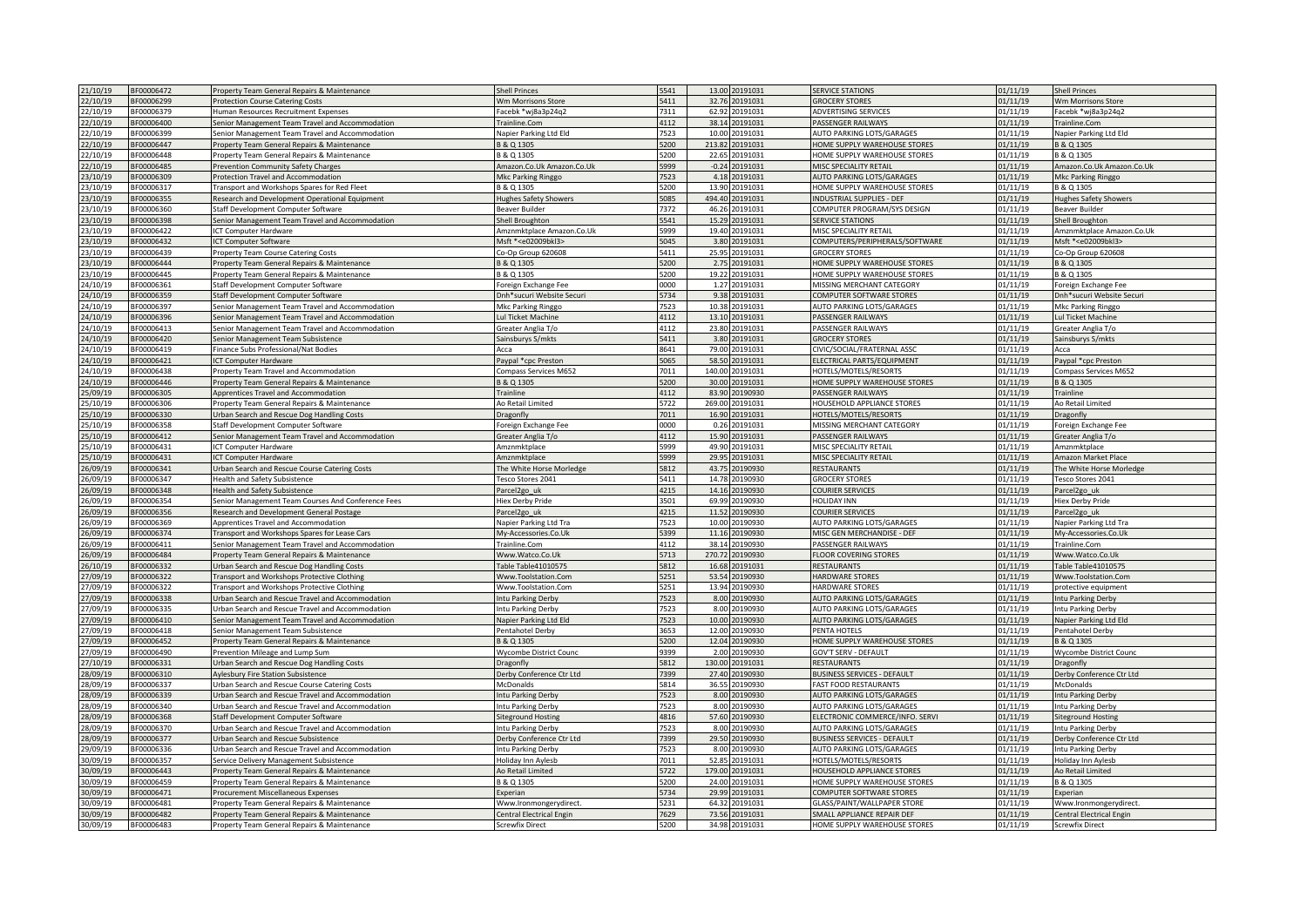| 21/10/19             | BF00006472               | Property Team General Repairs & Maintenance                                                | <b>Shell Princes</b>                               | 5541         | 13.00 20191031                      | <b>SERVICE STATIONS</b>                                    | 01/11/19             | <b>Shell Princes</b>                               |
|----------------------|--------------------------|--------------------------------------------------------------------------------------------|----------------------------------------------------|--------------|-------------------------------------|------------------------------------------------------------|----------------------|----------------------------------------------------|
| 22/10/19             | BF00006299               | <b>Protection Course Catering Costs</b>                                                    | Wm Morrisons Store                                 | 5411         | 20191031<br>32.76                   | <b>GROCERY STORES</b>                                      | 01/11/19             | Wm Morrisons Store                                 |
| 22/10/19             | BF00006379               | Human Resources Recruitment Expenses                                                       | acebk *wj8a3p24q2                                  | 7311         | 62.92<br>20191031                   | ADVERTISING SERVICES                                       | 01/11/19             | acebk *wi8a3p24g2                                  |
|                      |                          |                                                                                            |                                                    | 4112         |                                     |                                                            |                      |                                                    |
| 22/10/19             | BF00006400               | Senior Management Team Travel and Accommodation                                            | Trainline.Com                                      |              | 38.14<br>20191031                   | PASSENGER RAILWAYS                                         | 01/11/19             | Trainline.Com                                      |
| 22/10/19             | BF00006399               | enior Management Team Travel and Accommodation                                             | Napier Parking Ltd Eld                             | 523          | 10.00<br>20191031                   | AUTO PARKING LOTS/GARAGES                                  | 01/11/19             | Napier Parking Ltd Eld                             |
| 22/10/19             | BF00006447               | Property Team General Repairs & Maintenance                                                | B & Q 1305                                         | 5200         | 213.82<br>20191031                  | HOME SUPPLY WAREHOUSE STORES                               | 01/11/19             | B & Q 1305                                         |
| 22/10/19             | BF00006448               | Property Team General Repairs & Maintenance                                                | B & Q 1305                                         | 5200         | 22.65<br>0191031                    | HOME SUPPLY WAREHOUSE STORES                               | 01/11/19             | B & Q 1305                                         |
| 22/10/19             | 3F00006485               | <b>Prevention Community Safety Charges</b>                                                 | Amazon.Co.Uk Amazon.Co.Uk                          | 5999         | 0191031<br>$-0.24$                  | MISC SPECIALITY RETAIL                                     | 01/11/19             | Amazon.Co.Uk Amazon.Co.Uk                          |
| 23/10/19             | BF00006309               | Protection Travel and Accommodation                                                        | Mkc Parking Ringgo                                 | 7523         | 4.18 20191031                       | AUTO PARKING LOTS/GARAGES                                  | 01/11/19             | Mkc Parking Ringgo                                 |
| 23/10/19             | BF00006317               | <b>Transport and Workshops Spares for Red Fleet</b>                                        | B & Q 1305                                         | 5200         | 13.90<br>20191031                   | HOME SUPPLY WAREHOUSE STORES                               | 01/11/19             | B & Q 1305                                         |
| 23/10/19             | BF00006355               | Research and Development Operational Equipment                                             | Hughes Safety Showers                              | 5085         | 494.40 20191031                     | <b>INDUSTRIAL SUPPLIES - DEF</b>                           | 01/11/19             | lughes Safety Showers                              |
| 23/10/19             | BF00006360               |                                                                                            |                                                    |              |                                     |                                                            |                      |                                                    |
|                      |                          | Staff Development Computer Software                                                        | Beaver Builder                                     | 7372         | 46.26<br>20191031                   | COMPUTER PROGRAM/SYS DESIGN                                | 01/11/19             | Beaver Builder                                     |
| 23/10/19             | BF00006398               | Senior Management Team Travel and Accommodation                                            | Shell Broughton                                    | 5541         | 15.29 20191031                      | <b>SERVICE STATIONS</b>                                    | 01/11/19             | Shell Broughton                                    |
| 23/10/19             | BF00006422               | <b>ICT Computer Hardware</b>                                                               | Amznmktplace Amazon.Co.Uk                          | 5999         | 19.40 20191031                      | MISC SPECIALITY RETAIL                                     | 01/11/19             | Amznmktplace Amazon.Co.Uk                          |
| 23/10/19             | 3F00006432               | CT Computer Software                                                                       | Msft * <e02009bkl3></e02009bkl3>                   | 5045         | 3.80<br>20191031                    | COMPUTERS/PERIPHERALS/SOFTWARE                             | 01/11/19             | Msft * <e02009bkl3></e02009bkl3>                   |
| 23/10/19             | BF00006439               | Property Team Course Catering Costs                                                        | Co-Op Group 620608                                 | 5411         | 25.95<br>0191031                    | <b>GROCERY STORES</b>                                      | 01/11/19             | Co-Op Group 620608                                 |
| 23/10/19             | 3F00006444               | Property Team General Repairs & Maintenance                                                | 8 & Q 1305                                         | 5200         | 2.75<br>0191031                     | <b>IOME SUPPLY WAREHOUSE STORES</b>                        | 01/11/19             | 8 & Q 1305                                         |
| 23/10/19             | BF00006445               | Property Team General Repairs & Maintenance                                                | B & Q 1305                                         | 5200         | 19.22<br>20191031                   | HOME SUPPLY WAREHOUSE STORES                               | 01/11/19             | 8 & Q 1305                                         |
| 24/10/19             | BF00006361               | Staff Development Computer Software                                                        | Foreign Exchange Fee                               | 0000         | 1.27<br>20191031                    | MISSING MERCHANT CATEGORY                                  | 01/11/19             | Foreign Exchange Fee                               |
| 24/10/19             | BF00006359               | Staff Development Computer Software                                                        | Dnh*sucuri Website Securi                          | 5734         | 9.38 20191031                       | COMPUTER SOFTWARE STORES                                   | 01/11/19             | Dnh*sucuri Website Securi                          |
|                      | BF00006397               |                                                                                            |                                                    |              | 20191031                            | AUTO PARKING LOTS/GARAGES                                  | 01/11/19             |                                                    |
| 24/10/19             |                          | Senior Management Team Travel and Accommodation                                            | Mkc Parking Ringgo                                 | 7523         | 10.38                               |                                                            |                      | Mkc Parking Ringgo                                 |
| 24/10/19             | BF00006396               | Senior Management Team Travel and Accommodation                                            | Lul Ticket Machine                                 | 4112         | 13.10 20191031                      | PASSENGER RAILWAYS                                         | 01/11/19             | Lul Ticket Machine                                 |
| 24/10/19             | BF00006413               | Senior Management Team Travel and Accommodation                                            | Greater Anglia T/o                                 | 4112         | 23.80 20191031                      | PASSENGER RAILWAYS                                         | 01/11/19             | Greater Anglia T/o                                 |
| 24/10/19             | BF00006420               | Senior Management Team Subsistence                                                         | Sainsburys S/mkts                                  | 5411         | 20191031<br>3.80                    | <b>GROCERY STORES</b>                                      | 01/11/19             | ainsburys S/mkts                                   |
| 24/10/19             | BF00006419               | Finance Subs Professional/Nat Bodies                                                       | Acca                                               | 8641         | 79.00 20191031                      | CIVIC/SOCIAL/FRATERNAL ASSC                                | 01/11/19             | Acca                                               |
| 24/10/19             | BF00006421               | <b>ICT Computer Hardware</b>                                                               | Pavpal *cpc Preston                                | 5065         | 58.50<br>20191031                   | ELECTRICAL PARTS/EQUIPMENT                                 | 01/11/19             | Paypal *cpc Preston                                |
| 24/10/19             | BF00006438               | Property Team Travel and Accommodation                                                     | Compass Services M652                              | 7011         | 140.00<br>0191031                   | <b>HOTELS/MOTELS/RESORTS</b>                               | 01/11/19             | Compass Services M652                              |
| 24/10/19             | BF00006446               | Property Team General Repairs & Maintenance                                                | B & Q 1305                                         | 5200         | 30.00<br>20191031                   | HOME SUPPLY WAREHOUSE STORES                               | 01/11/19             | 3 & Q 1305                                         |
| 25/09/19             | BF00006305               | Apprentices Travel and Accommodation                                                       | <b>Trainline</b>                                   | 4112         | 83.90<br>0190930                    | PASSENGER RAILWAYS                                         | 01/11/19             | Trainline                                          |
|                      |                          |                                                                                            |                                                    |              |                                     |                                                            |                      |                                                    |
| 25/10/19             | BF00006306               | Property Team General Repairs & Maintenance                                                | Ao Retail Limited                                  | 5722         | 20191031<br>269.00                  | <b>IOUSEHOLD APPLIANCE STORES</b>                          | 01/11/19             | Ao Retail Limited                                  |
| 25/10/19             | BF00006330               | Urban Search and Rescue Dog Handling Costs                                                 | Dragonfly                                          | 7011         | 16.90<br>20191031                   | HOTELS/MOTELS/RESORTS                                      | 01/11/19             | Dragonfly                                          |
| 25/10/19             | BF00006358               | Staff Development Computer Software                                                        | Foreign Exchange Fee                               | 0000         | 0.26<br>20191031                    | MISSING MERCHANT CATEGORY                                  | 01/11/19             | Foreign Exchange Fee                               |
| 25/10/19             | 3F00006412               | Senior Management Team Travel and Accommodation                                            | Greater Anglia T/o                                 | 4112         | 15.90<br>0191031                    | PASSENGER RAILWAYS                                         | 01/11/19             | Greater Anglia T/o                                 |
| 25/10/19             | BF00006431               | ICT Computer Hardware                                                                      | Amznmktplace                                       | 5999         | 49.90 20191031                      | MISC SPECIALITY RETAIL                                     | 01/11/19             | Amznmktplace                                       |
| 25/10/19             | BF00006431               | CT Computer Hardware                                                                       | Amznmktplace                                       | 5999         | 29.95<br>20191031                   | MISC SPECIALITY RETAIL                                     | 01/11/19             | Amazon Market Place                                |
| 26/09/19             | BF00006341               | Urban Search and Rescue Course Catering Costs                                              | The White Horse Morledge                           | 5812         | 43.75<br>20190930                   | RESTAURANTS                                                | 01/11/19             | The White Horse Morledge                           |
| 26/09/19             | BF00006347               | Health and Safety Subsistence                                                              | Tesco Stores 2041                                  | 5411         | 14.78 20190930                      | <b>GROCERY STORES</b>                                      | 01/11/19             | Tesco Stores 2041                                  |
|                      |                          |                                                                                            |                                                    |              |                                     |                                                            |                      |                                                    |
| 26/09/19             | BF00006348               | Health and Safety Subsistence                                                              | Parcel2go uk                                       | 4215         | 14.16 20190930                      | COURIER SERVICES                                           | 01/11/19             | Parcel2go uk                                       |
| 26/09/19             | BF00006354               | Senior Management Team Courses And Conference Fees                                         | <b>Hiex Derby Pride</b>                            | 3501         | 69.99<br>20190930                   | <b>OLIDAY INN</b>                                          | 01/11/19             | Hiex Derby Pride                                   |
| 26/09/19             | BF00006356               | Research and Development General Postage                                                   | Parcel <sub>2gouk</sub>                            | 4215         | 11.52 20190930                      | COURIER SERVICES                                           | 01/11/19             | arcel <sub>2gouk</sub>                             |
| 26/09/19             | BF00006369               | Apprentices Travel and Accommodation                                                       | Napier Parking Ltd Tra                             | 7523         | 10.00<br>20190930                   | <b>AUTO PARKING LOTS/GARAGES</b>                           | 01/11/19             | <b>Napier Parking Ltd Tra</b>                      |
| 26/09/19             | BF00006374               | Transport and Workshops Spares for Lease Cars                                              | My-Accessories.Co.Uk                               | 399          | 11.16<br>20190930                   | <b>VIISC GEN MERCHANDISE - DEF</b>                         |                      |                                                    |
|                      |                          |                                                                                            |                                                    |              |                                     |                                                            | 01/11/19             | My-Accessories.Co.Uk                               |
| 26/09/19             | BF00006411               | Senior Management Team Travel and Accommodation                                            | Trainline.Com                                      | 4112         | 20190930<br>38.14                   | PASSENGER RAILWAYS                                         | 01/11/19             | Trainline.Com                                      |
|                      | BF00006484               |                                                                                            |                                                    |              | 270.72<br>20190930                  |                                                            | 01/11/19             |                                                    |
| 26/09/19             |                          | Property Team General Repairs & Maintenance                                                | Www.Watco.Co.Uk                                    | 5713         |                                     | <b>FLOOR COVERING STORES</b>                               |                      | Www.Watco.Co.Uk                                    |
| 26/10/19             | BF00006332               | Urban Search and Rescue Dog Handling Costs                                                 | Table Table4101057                                 | 5812         | 16.68<br>0191031                    | RESTAURANTS                                                | 01/11/19             | able Table41010579                                 |
| 27/09/19             | BF00006322               | <b>Transport and Workshops Protective Clothing</b>                                         | Www.Toolstation.Com                                | 5251         | 53.54 20190930                      | HARDWARE STORES                                            | 01/11/19             | Www.Toolstation.Com                                |
| 27/09/19             | BF00006322               | <b>Transport and Workshops Protective Clothing</b>                                         | Www.Toolstation.Com                                | 5251         | 13.94<br>20190930                   | HARDWARE STORES                                            | 01/11/19             | protective equipment                               |
| 27/09/19             | BF00006338               | Urban Search and Rescue Travel and Accommodation                                           | Intu Parking Derby                                 | 7523         | 8.00<br>20190930                    | <b>NUTO PARKING LOTS/GARAGES</b>                           | 01/11/19             | ntu Parking Derby                                  |
| 27/09/19             | BF00006335               | Urban Search and Rescue Travel and Accommodation                                           | Intu Parking Derby                                 | 7523         | 8.00 20190930                       | AUTO PARKING LOTS/GARAGES                                  | 01/11/19             | Intu Parking Derby                                 |
| 27/09/19             | BF00006410               | Senior Management Team Travel and Accommodation                                            | Napier Parking Ltd Eld                             | 7523         | 10.00 20190930                      | AUTO PARKING LOTS/GARAGES                                  | 01/11/19             | Napier Parking Ltd Eld                             |
| 27/09/19             | BF00006418               | Senior Management Team Subsistence                                                         | Pentahotel Derby                                   | 3653         | 12.00 20190930                      | PENTA HOTELS                                               | 01/11/19             | Pentahotel Derby                                   |
| 27/09/19             | 3F00006452               |                                                                                            | 3 & Q 1305                                         | 5200         | 20190930<br>12.04                   | <b>IOME SUPPLY WAREHOUSE STORES</b>                        | 01/11/19             | 8 & Q 1305                                         |
|                      | BF00006490               | Property Team General Repairs & Maintenance                                                |                                                    | 9399         | 2.00<br>20190930                    | <b>GOV'T SERV - DEFAULT</b>                                |                      |                                                    |
| 27/09/19             |                          | Prevention Mileage and Lump Sum                                                            | Wycombe District Counc                             |              |                                     |                                                            | 01/11/19             | Wycombe District Counc                             |
| 27/10/19             | BF00006331               | Urban Search and Rescue Dog Handling Costs                                                 | Dragonfly                                          | 5812         | 130.00<br>20191031                  | <b>RESTAURANTS</b>                                         | 01/11/19             | Dragonfly                                          |
| 28/09/19             | BF00006310               | Aylesbury Fire Station Subsistence                                                         | Derby Conference Ctr Ltd                           | 7399         | 27.40<br>20190930                   | <b>BUSINESS SERVICES - DEFAULT</b>                         | 01/11/19             | Derby Conference Ctr Ltd                           |
| 28/09/19             | BF00006337               | Urban Search and Rescue Course Catering Costs                                              | McDonalds                                          | 5814         | 36.55<br>20190930                   | <b>FAST FOOD RESTAURANTS</b>                               | 01/11/19             | McDonalds                                          |
| 28/09/19             | 3F00006339               | Urban Search and Rescue Travel and Accommodation                                           | ntu Parking Derby                                  | 7523         | 8.00<br>0190930                     | AUTO PARKING LOTS/GARAGES                                  | 01/11/19             | ntu Parking Derby                                  |
| 28/09/19             | BF00006340               | Urban Search and Rescue Travel and Accommodation                                           | Intu Parking Derby                                 | 7523         | 8.00<br>20190930                    | AUTO PARKING LOTS/GARAGES                                  | 01/11/19             | ntu Parking Derby                                  |
| 28/09/19             | BF00006368               | Staff Development Computer Software                                                        | Siteground Hosting                                 | 4816         | 57.60<br>20190930                   | ELECTRONIC COMMERCE/INFO. SERVI                            | 01/11/19             | Siteground Hosting                                 |
| 28/09/19             | BF00006370               | Urban Search and Rescue Travel and Accommodation                                           | ntu Parking Derby                                  | 7523         | 8.00<br>20190930                    | AUTO PARKING LOTS/GARAGES                                  | 01/11/19             | Intu Parking Derby                                 |
| 28/09/19             | BF00006377               | Urban Search and Rescue Subsistence                                                        | Derby Conference Ctr Ltd                           | 7399         | 29.50 20190930                      | <b>BUSINESS SERVICES - DEFAULT</b>                         | 01/11/19             | Derby Conference Ctr Ltd                           |
| 29/09/19             | BF00006336               | Urban Search and Rescue Travel and Accommodation                                           | Intu Parking Derby                                 | 7523         | 8.00 20190930                       | AUTO PARKING LOTS/GARAGES                                  | 01/11/19             | Intu Parking Derby                                 |
| 30/09/19             | BF00006357               | Service Delivery Management Subsistence                                                    |                                                    | 7011         | 20191031<br>52.85                   | HOTELS/MOTELS/RESORTS                                      | 01/11/19             | doliday Inn Aylesb                                 |
|                      |                          |                                                                                            | Holiday Inn Aylesb                                 |              |                                     |                                                            |                      |                                                    |
| 30/09/19             | BF00006443               | Property Team General Repairs & Maintenance                                                | <b>Ao Retail Limited</b>                           | 5722         | 0191031<br>179.00                   | <b>HOUSEHOLD APPLIANCE STORES</b>                          | 01/11/19             | <b>Ao Retail Limited</b>                           |
| 30/09/19             | BF00006459               | Property Team General Repairs & Maintenance                                                | B & Q 1305                                         | 5200         | 24.00<br>0191031                    | HOME SUPPLY WAREHOUSE STORES                               | 01/11/19             | 3 & Q 1305                                         |
| 30/09/19             | BF00006471               | Procurement Miscellaneous Expenses                                                         | Experian                                           | 5734         | 29.99<br>20191031                   | <b>COMPUTER SOFTWARE STORES</b>                            | 01/11/19             | xperian                                            |
| 30/09/19             | BF00006481               | Property Team General Repairs & Maintenance                                                | Www.Ironmongerydirect.                             | 5231         | 64.32<br>20191031                   | <b>GLASS/PAINT/WALLPAPER STORE</b>                         | 01/11/19             | Www.Ironmongerydirect.                             |
| 30/09/19<br>30/09/19 | BF00006482<br>BF00006483 | Property Team General Repairs & Maintenance<br>Property Team General Repairs & Maintenance | Central Electrical Engin<br><b>Screwfix Direct</b> | 7629<br>5200 | 73.56<br>20191031<br>34.98 20191031 | SMALL APPLIANCE REPAIR DEF<br>HOME SUPPLY WAREHOUSE STORES | 01/11/19<br>01/11/19 | Central Electrical Engin<br><b>Screwfix Direct</b> |